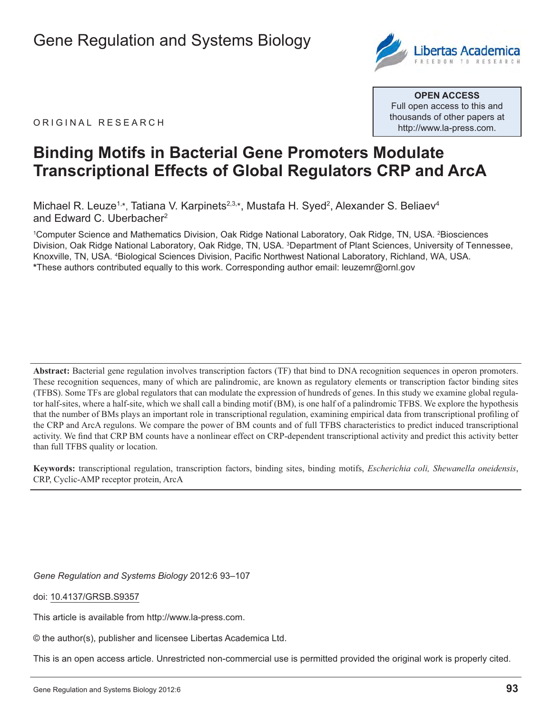

**OPEN ACCESS** Full open access to this and thousands of other papers at http://www.la-press.com.

ORIGINAL RESEARCH

# **Binding Motifs in Bacterial Gene Promoters Modulate Transcriptional Effects of Global Regulators CRP and ArcA**

Michael R. Leuze<sup>1,\*</sup>, Tatiana V. Karpinets<sup>2,3,\*</sup>, Mustafa H. Syed<sup>2</sup>, Alexander S. Beliaev<sup>4</sup> and Edward C. Uberbacher<sup>2</sup>

<sup>1</sup>Computer Science and Mathematics Division, Oak Ridge National Laboratory, Oak Ridge, TN, USA. <sup>2</sup>Biosciences Division, Oak Ridge National Laboratory, Oak Ridge, TN, USA. 3 Department of Plant Sciences, University of Tennessee, Knoxville, TN, USA. 4 Biological Sciences Division, Pacific Northwest National Laboratory, Richland, WA, USA. **\***These authors contributed equally to this work. Corresponding author email: leuzemr@ornl.gov

**Abstract:** Bacterial gene regulation involves transcription factors (TF) that bind to DNA recognition sequences in operon promoters. These recognition sequences, many of which are palindromic, are known as regulatory elements or transcription factor binding sites (TFBS). Some TFs are global regulators that can modulate the expression of hundreds of genes. In this study we examine global regulator half-sites, where a half-site, which we shall call a binding motif (BM), is one half of a palindromic TFBS. We explore the hypothesis that the number of BMs plays an important role in transcriptional regulation, examining empirical data from transcriptional profiling of the CRP and ArcA regulons. We compare the power of BM counts and of full TFBS characteristics to predict induced transcriptional activity. We find that CRP BM counts have a nonlinear effect on CRP-dependent transcriptional activity and predict this activity better than full TFBS quality or location.

**Keywords:** transcriptional regulation, transcription factors, binding sites, binding motifs, *Escherichia coli, Shewanella oneidensis*, CRP, Cyclic-AMP receptor protein, ArcA

*Gene Regulation and Systems Biology* 2012:6 93–107

doi: 10.4137/GRSB.S9357

This article is available from http://www.la-press.com.

© the author(s), publisher and licensee Libertas Academica Ltd.

This is an open access article. Unrestricted non-commercial use is permitted provided the original work is properly cited.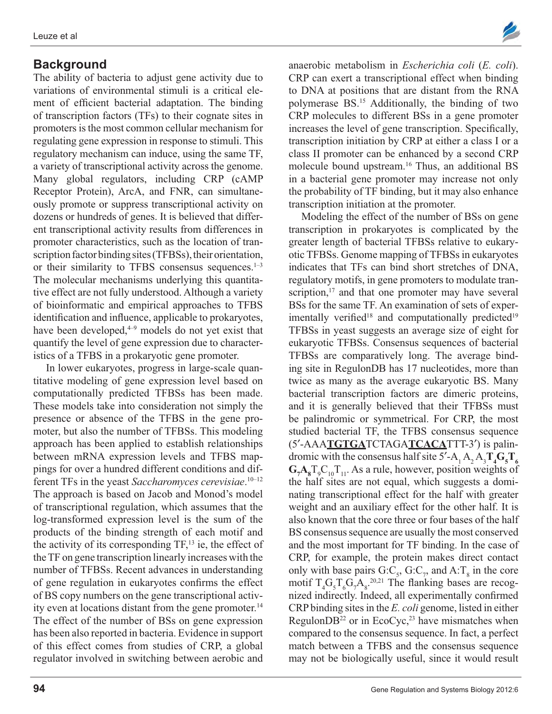## **Background**

The ability of bacteria to adjust gene activity due to variations of environmental stimuli is a critical element of efficient bacterial adaptation. The binding of transcription factors (TFs) to their cognate sites in promoters is the most common cellular mechanism for regulating gene expression in response to stimuli. This regulatory mechanism can induce, using the same TF, a variety of transcriptional activity across the genome. Many global regulators, including CRP (cAMP Receptor Protein), ArcA, and FNR, can simultaneously promote or suppress transcriptional activity on dozens or hundreds of genes. It is believed that different transcriptional activity results from differences in promoter characteristics, such as the location of transcription factor binding sites (TFBSs), their orientation, or their similarity to TFBS consensus sequences. $1-3$ The molecular mechanisms underlying this quantitative effect are not fully understood. Although a variety of bioinformatic and empirical approaches to TFBS identification and influence, applicable to prokaryotes, have been developed,<sup>4-9</sup> models do not yet exist that quantify the level of gene expression due to characteristics of a TFBS in a prokaryotic gene promoter.

In lower eukaryotes, progress in large-scale quantitative modeling of gene expression level based on computationally predicted TFBSs has been made. These models take into consideration not simply the presence or absence of the TFBS in the gene promoter, but also the number of TFBSs. This modeling approach has been applied to establish relationships between mRNA expression levels and TFBS mappings for over a hundred different conditions and different TFs in the yeast *Saccharomyces cerevisiae*. 10–12 The approach is based on Jacob and Monod's model of transcriptional regulation, which assumes that the log-transformed expression level is the sum of the products of the binding strength of each motif and the activity of its corresponding  $TF<sub>13</sub>$  ie, the effect of the TF on gene transcription linearly increases with the number of TFBSs. Recent advances in understanding of gene regulation in eukaryotes confirms the effect of BS copy numbers on the gene transcriptional activity even at locations distant from the gene promoter.<sup>14</sup> The effect of the number of BSs on gene expression has been also reported in bacteria. Evidence in support of this effect comes from studies of CRP, a global regulator involved in switching between aerobic and



anaerobic metabolism in *Escherichia coli* (*E. coli*). CRP can exert a transcriptional effect when binding to DNA at positions that are distant from the RNA polymerase BS.15 Additionally, the binding of two CRP molecules to different BSs in a gene promoter increases the level of gene transcription. Specifically, transcription initiation by CRP at either a class I or a class II promoter can be enhanced by a second CRP molecule bound upstream.<sup>16</sup> Thus, an additional BS in a bacterial gene promoter may increase not only the probability of TF binding, but it may also enhance transcription initiation at the promoter.

Modeling the effect of the number of BSs on gene transcription in prokaryotes is complicated by the greater length of bacterial TFBSs relative to eukaryotic TFBSs. Genome mapping of TFBSs in eukaryotes indicates that TFs can bind short stretches of DNA, regulatory motifs, in gene promoters to modulate transcription,<sup>17</sup> and that one promoter may have several BSs for the same TF. An examination of sets of experimentally verified<sup>18</sup> and computationally predicted<sup>19</sup> TFBSs in yeast suggests an average size of eight for eukaryotic TFBSs. Consensus sequences of bacterial TFBSs are comparatively long. The average binding site in RegulonDB has 17 nucleotides, more than twice as many as the average eukaryotic BS. Many bacterial transcription factors are dimeric proteins, and it is generally believed that their TFBSs must be palindromic or symmetrical. For CRP, the most studied bacterial TF, the TFBS consensus sequence (5'-AAATGTGATCTAGATCACATTT-3') is palindromic with the consensus half site  $5'$ -A<sub>1</sub>A<sub>2</sub>A<sub>3</sub>T<sub>4</sub>G<sub>5</sub>T<sub>6</sub>  $G_7A_8T_9C_{10}T_{11}$ . As a rule, however, position weights of the half sites are not equal, which suggests a dominating transcriptional effect for the half with greater weight and an auxiliary effect for the other half. It is also known that the core three or four bases of the half BS consensus sequence are usually the most conserved and the most important for TF binding. In the case of CRP, for example, the protein makes direct contact only with base pairs  $G:C_5$ ,  $G:C_7$ , and  $A:T_8$  in the core motif  $T_4G_5T_6G_7A_8$ <sup>20,21</sup> The flanking bases are recognized indirectly. Indeed, all experimentally confirmed CRP binding sites in the *E. coli* genome, listed in either Regulon $DB^{22}$  or in EcoCyc,<sup>23</sup> have mismatches when compared to the consensus sequence. In fact, a perfect match between a TFBS and the consensus sequence may not be biologically useful, since it would result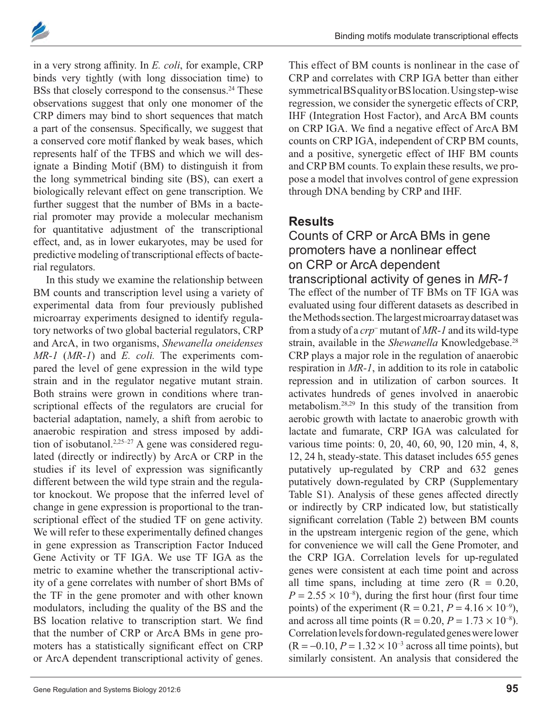

in a very strong affinity. In *E. coli*, for example, CRP binds very tightly (with long dissociation time) to BSs that closely correspond to the consensus.<sup>24</sup> These observations suggest that only one monomer of the CRP dimers may bind to short sequences that match a part of the consensus. Specifically, we suggest that a conserved core motif flanked by weak bases, which represents half of the TFBS and which we will designate a Binding Motif (BM) to distinguish it from the long symmetrical binding site (BS), can exert a biologically relevant effect on gene transcription. We further suggest that the number of BMs in a bacterial promoter may provide a molecular mechanism for quantitative adjustment of the transcriptional effect, and, as in lower eukaryotes, may be used for predictive modeling of transcriptional effects of bacterial regulators.

In this study we examine the relationship between BM counts and transcription level using a variety of experimental data from four previously published microarray experiments designed to identify regulatory networks of two global bacterial regulators, CRP and ArcA, in two organisms, *Shewanella oneidenses MR-1* (*MR-1*) and *E. coli.* The experiments compared the level of gene expression in the wild type strain and in the regulator negative mutant strain. Both strains were grown in conditions where transcriptional effects of the regulators are crucial for bacterial adaptation, namely, a shift from aerobic to anaerobic respiration and stress imposed by addition of isobutanol.<sup>2,25-27</sup> A gene was considered regulated (directly or indirectly) by ArcA or CRP in the studies if its level of expression was significantly different between the wild type strain and the regulator knockout. We propose that the inferred level of change in gene expression is proportional to the transcriptional effect of the studied TF on gene activity. We will refer to these experimentally defined changes in gene expression as Transcription Factor Induced Gene Activity or TF IGA. We use TF IGA as the metric to examine whether the transcriptional activity of a gene correlates with number of short BMs of the TF in the gene promoter and with other known modulators, including the quality of the BS and the BS location relative to transcription start. We find that the number of CRP or ArcA BMs in gene promoters has a statistically significant effect on CRP or ArcA dependent transcriptional activity of genes.

This effect of BM counts is nonlinear in the case of CRP and correlates with CRP IGA better than either symmetrical BS quality or BS location. Using step-wise regression, we consider the synergetic effects of CRP, IHF (Integration Host Factor), and ArcA BM counts on CRP IGA. We find a negative effect of ArcA BM counts on CRP IGA, independent of CRP BM counts, and a positive, synergetic effect of IHF BM counts and CRP BM counts. To explain these results, we propose a model that involves control of gene expression through DNA bending by CRP and IHF.

## **Results**

#### Counts of CRP or ArcA BMs in gene promoters have a nonlinear effect on CRP or ArcA dependent transcriptional activity of genes in *MR-1*

The effect of the number of TF BMs on TF IGA was evaluated using four different datasets as described in the Methods section. The largest microarray dataset was from a study of a *crp*<sup>-</sup> mutant of MR-1 and its wild-type strain, available in the *Shewanella* Knowledgebase.<sup>28</sup> CRP plays a major role in the regulation of anaerobic respiration in *MR-1*, in addition to its role in catabolic repression and in utilization of carbon sources. It activates hundreds of genes involved in anaerobic metabolism.28,29 In this study of the transition from aerobic growth with lactate to anaerobic growth with lactate and fumarate, CRP IGA was calculated for various time points: 0, 20, 40, 60, 90, 120 min, 4, 8, 12, 24 h, steady-state. This dataset includes 655 genes putatively up-regulated by CRP and 632 genes putatively down-regulated by CRP (Supplementary Table S1). Analysis of these genes affected directly or indirectly by CRP indicated low, but statistically significant correlation (Table 2) between BM counts in the upstream intergenic region of the gene, which for convenience we will call the Gene Promoter, and the CRP IGA. Correlation levels for up-regulated genes were consistent at each time point and across all time spans, including at time zero  $(R = 0.20,$  $P = 2.55 \times 10^{-8}$ , during the first hour (first four time points) of the experiment (R = 0.21,  $P = 4.16 \times 10^{-9}$ ), and across all time points  $(R = 0.20, P = 1.73 \times 10^{-8})$ . Correlation levels for down-regulated genes were lower  $(R = -0.10, P = 1.32 \times 10^{-3}$  across all time points), but similarly consistent. An analysis that considered the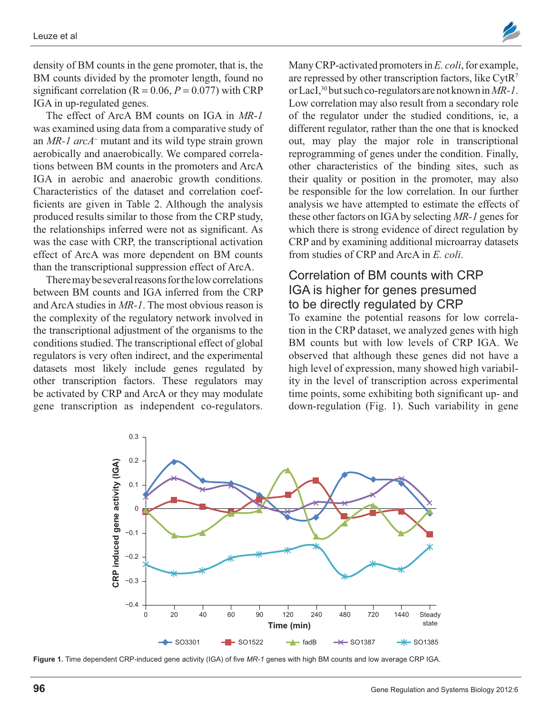density of BM counts in the gene promoter, that is, the BM counts divided by the promoter length, found no significant correlation  $(R = 0.06, P = 0.077)$  with CRP IGA in up-regulated genes.

The effect of ArcA BM counts on IGA in *MR-1* was examined using data from a comparative study of an *MR-1 arcA*<sup>-</sup> mutant and its wild type strain grown aerobically and anaerobically. We compared correlations between BM counts in the promoters and ArcA IGA in aerobic and anaerobic growth conditions. Characteristics of the dataset and correlation coefficients are given in Table 2. Although the analysis produced results similar to those from the CRP study, the relationships inferred were not as significant. As was the case with CRP, the transcriptional activation effect of ArcA was more dependent on BM counts than the transcriptional suppression effect of ArcA.

There may be several reasons for the low correlations between BM counts and IGA inferred from the CRP and ArcA studies in *MR-1*. The most obvious reason is the complexity of the regulatory network involved in the transcriptional adjustment of the organisms to the conditions studied. The transcriptional effect of global regulators is very often indirect, and the experimental datasets most likely include genes regulated by other transcription factors. These regulators may be activated by CRP and ArcA or they may modulate gene transcription as independent co-regulators.



Many CRP-activated promoters in *E. coli*, for example, are repressed by other transcription factors, like CytR7 or LacI,30 but such co-regulators are not known in *MR-1*. Low correlation may also result from a secondary role of the regulator under the studied conditions, ie, a different regulator, rather than the one that is knocked out, may play the major role in transcriptional reprogramming of genes under the condition. Finally, other characteristics of the binding sites, such as their quality or position in the promoter, may also be responsible for the low correlation. In our further analysis we have attempted to estimate the effects of these other factors on IGA by selecting *MR-1* genes for which there is strong evidence of direct regulation by CRP and by examining additional microarray datasets from studies of CRP and ArcA in *E. coli*.

#### Correlation of BM counts with CRP IGA is higher for genes presumed to be directly regulated by CRP

To examine the potential reasons for low correlation in the CRP dataset, we analyzed genes with high BM counts but with low levels of CRP IGA. We observed that although these genes did not have a high level of expression, many showed high variability in the level of transcription across experimental time points, some exhibiting both significant up- and down-regulation (Fig. 1). Such variability in gene



**Figure 1.** Time dependent CRP-induced gene activity (IGA) of five *MR-1* genes with high BM counts and low average CRP IGA.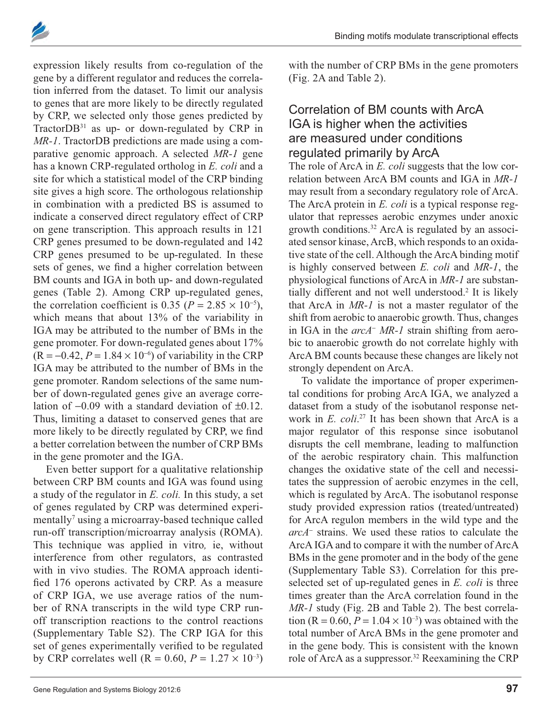

expression likely results from co-regulation of the gene by a different regulator and reduces the correlation inferred from the dataset. To limit our analysis to genes that are more likely to be directly regulated by CRP, we selected only those genes predicted by TractorDB31 as up- or down-regulated by CRP in *MR-1*. TractorDB predictions are made using a comparative genomic approach. A selected *MR-1* gene has a known CRP-regulated ortholog in *E. coli* and a site for which a statistical model of the CRP binding site gives a high score. The orthologous relationship in combination with a predicted BS is assumed to indicate a conserved direct regulatory effect of CRP on gene transcription. This approach results in 121 CRP genes presumed to be down-regulated and 142 CRP genes presumed to be up-regulated. In these sets of genes, we find a higher correlation between BM counts and IGA in both up- and down-regulated genes (Table 2). Among CRP up-regulated genes, the correlation coefficient is 0.35 ( $P = 2.85 \times 10^{-5}$ ), which means that about 13% of the variability in IGA may be attributed to the number of BMs in the gene promoter. For down-regulated genes about 17%  $(R = -0.42, P = 1.84 \times 10^{-6})$  of variability in the CRP IGA may be attributed to the number of BMs in the gene promoter. Random selections of the same number of down-regulated genes give an average correlation of  $-0.09$  with a standard deviation of  $\pm 0.12$ . Thus, limiting a dataset to conserved genes that are more likely to be directly regulated by CRP, we find a better correlation between the number of CRP BMs in the gene promoter and the IGA.

Even better support for a qualitative relationship between CRP BM counts and IGA was found using a study of the regulator in *E. coli.* In this study, a set of genes regulated by CRP was determined experimentally<sup>7</sup> using a microarray-based technique called run-off transcription/microarray analysis (ROMA). This technique was applied in vitro*,* ie, without interference from other regulators, as contrasted with in vivo studies. The ROMA approach identified 176 operons activated by CRP. As a measure of CRP IGA, we use average ratios of the number of RNA transcripts in the wild type CRP runoff transcription reactions to the control reactions (Supplementary Table S2). The CRP IGA for this set of genes experimentally verified to be regulated by CRP correlates well  $(R = 0.60, P = 1.27 \times 10^{-3})$  with the number of CRP BMs in the gene promoters (Fig. 2A and Table 2).

#### Correlation of BM counts with ArcA IGA is higher when the activities are measured under conditions regulated primarily by ArcA

The role of ArcA in *E. coli* suggests that the low correlation between ArcA BM counts and IGA in *MR-1* may result from a secondary regulatory role of ArcA. The ArcA protein in *E. coli* is a typical response regulator that represses aerobic enzymes under anoxic growth conditions.32 ArcA is regulated by an associated sensor kinase, ArcB, which responds to an oxidative state of the cell. Although the ArcA binding motif is highly conserved between *E. coli* and *MR-1*, the physiological functions of ArcA in *MR-1* are substantially different and not well understood.<sup>2</sup> It is likely that ArcA in *MR-1* is not a master regulator of the shift from aerobic to anaerobic growth. Thus, changes in IGA in the *arcA MR-1* strain shifting from aerobic to anaerobic growth do not correlate highly with ArcA BM counts because these changes are likely not strongly dependent on ArcA.

To validate the importance of proper experimental conditions for probing ArcA IGA, we analyzed a dataset from a study of the isobutanol response network in *E. coli*. 27 It has been shown that ArcA is a major regulator of this response since isobutanol disrupts the cell membrane, leading to malfunction of the aerobic respiratory chain. This malfunction changes the oxidative state of the cell and necessitates the suppression of aerobic enzymes in the cell, which is regulated by ArcA. The isobutanol response study provided expression ratios (treated/untreated) for ArcA regulon members in the wild type and the arcA<sup>-</sup> strains. We used these ratios to calculate the ArcA IGA and to compare it with the number of ArcA BMs in the gene promoter and in the body of the gene (Supplementary Table S3). Correlation for this preselected set of up-regulated genes in *E. coli* is three times greater than the ArcA correlation found in the *MR-1* study (Fig. 2B and Table 2). The best correlation (R = 0.60,  $P = 1.04 \times 10^{-3}$ ) was obtained with the total number of ArcA BMs in the gene promoter and in the gene body. This is consistent with the known role of ArcA as a suppressor.<sup>32</sup> Reexamining the CRP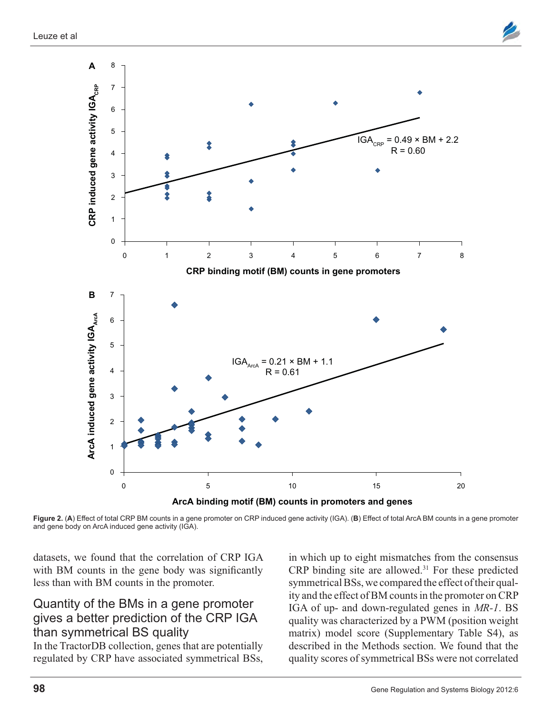



**Figure 2.** (**A**) Effect of total CRP BM counts in a gene promoter on CRP induced gene activity (IGA). (**B**) Effect of total ArcA BM counts in a gene promoter and gene body on ArcA induced gene activity (IGA).

datasets, we found that the correlation of CRP IGA with BM counts in the gene body was significantly less than with BM counts in the promoter.

## Quantity of the BMs in a gene promoter gives a better prediction of the CRP IGA than symmetrical BS quality

In the TractorDB collection, genes that are potentially regulated by CRP have associated symmetrical BSs, in which up to eight mismatches from the consensus  $CRP$  binding site are allowed.<sup>31</sup> For these predicted symmetrical BSs, we compared the effect of their quality and the effect of BM counts in the promoter on CRP IGA of up- and down-regulated genes in *MR-1*. BS quality was characterized by a PWM (position weight matrix) model score (Supplementary Table S4), as described in the Methods section. We found that the quality scores of symmetrical BSs were not correlated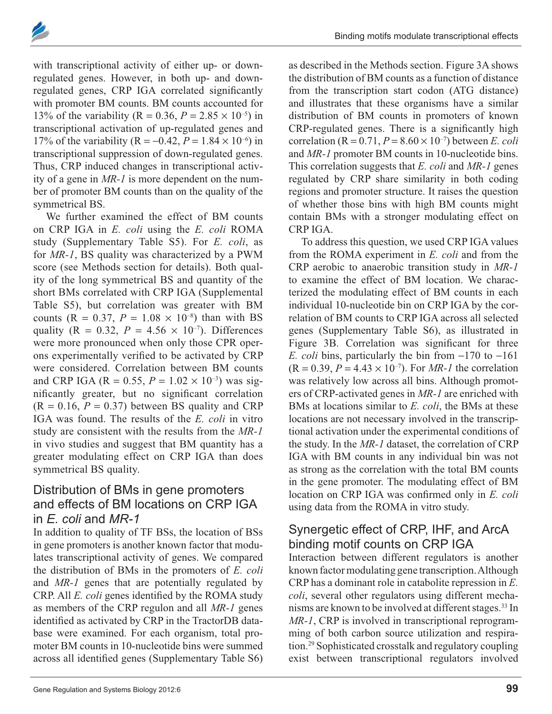

with transcriptional activity of either up- or downregulated genes. However, in both up- and downregulated genes, CRP IGA correlated significantly with promoter BM counts. BM counts accounted for 13% of the variability (R = 0.36,  $P = 2.85 \times 10^{-5}$ ) in transcriptional activation of up-regulated genes and 17% of the variability (R = -0.42,  $P = 1.84 \times 10^{-6}$ ) in transcriptional suppression of down-regulated genes. Thus, CRP induced changes in transcriptional activity of a gene in *MR-1* is more dependent on the number of promoter BM counts than on the quality of the symmetrical BS.

We further examined the effect of BM counts on CRP IGA in *E. coli* using the *E. coli* ROMA study (Supplementary Table S5). For *E. coli*, as for *MR-1*, BS quality was characterized by a PWM score (see Methods section for details). Both quality of the long symmetrical BS and quantity of the short BMs correlated with CRP IGA (Supplemental Table S5), but correlation was greater with BM counts (R = 0.37,  $P = 1.08 \times 10^{-8}$ ) than with BS quality (R = 0.32,  $P = 4.56 \times 10^{-7}$ ). Differences were more pronounced when only those CPR operons experimentally verified to be activated by CRP were considered. Correlation between BM counts and CRP IGA (R = 0.55,  $P = 1.02 \times 10^{-3}$ ) was significantly greater, but no significant correlation  $(R = 0.16, P = 0.37)$  between BS quality and CRP IGA was found. The results of the *E. coli* in vitro study are consistent with the results from the *MR-1* in vivo studies and suggest that BM quantity has a greater modulating effect on CRP IGA than does symmetrical BS quality.

#### Distribution of BMs in gene promoters and effects of BM locations on CRP IGA in *E. coli* and *MR-1*

In addition to quality of TF BSs, the location of BSs in gene promoters is another known factor that modulates transcriptional activity of genes. We compared the distribution of BMs in the promoters of *E. coli* and *MR-1* genes that are potentially regulated by CRP. All *E. coli* genes identified by the ROMA study as members of the CRP regulon and all *MR-1* genes identified as activated by CRP in the TractorDB database were examined. For each organism, total promoter BM counts in 10-nucleotide bins were summed across all identified genes (Supplementary Table S6)

as described in the Methods section. Figure 3A shows the distribution of BM counts as a function of distance from the transcription start codon (ATG distance) and illustrates that these organisms have a similar distribution of BM counts in promoters of known CRP-regulated genes. There is a significantly high correlation (R =  $0.71$ ,  $P = 8.60 \times 10^{-7}$ ) between *E. coli* and *MR-1* promoter BM counts in 10-nucleotide bins. This correlation suggests that *E. coli* and *MR-1* genes regulated by CRP share similarity in both coding regions and promoter structure. It raises the question of whether those bins with high BM counts might contain BMs with a stronger modulating effect on CRP IGA.

To address this question, we used CRP IGA values from the ROMA experiment in *E. coli* and from the CRP aerobic to anaerobic transition study in *MR-1* to examine the effect of BM location. We characterized the modulating effect of BM counts in each individual 10-nucleotide bin on CRP IGA by the correlation of BM counts to CRP IGA across all selected genes (Supplementary Table S6), as illustrated in Figure 3B. Correlation was significant for three *E. coli* bins, particularly the bin from  $-170$  to  $-161$  $(R = 0.39, P = 4.43 \times 10^{-7})$ . For *MR-1* the correlation was relatively low across all bins. Although promoters of CRP-activated genes in *MR-1* are enriched with BMs at locations similar to *E. coli*, the BMs at these locations are not necessary involved in the transcriptional activation under the experimental conditions of the study. In the *MR-1* dataset, the correlation of CRP IGA with BM counts in any individual bin was not as strong as the correlation with the total BM counts in the gene promoter. The modulating effect of BM location on CRP IGA was confirmed only in *E. coli* using data from the ROMA in vitro study.

## Synergetic effect of CRP, IHF, and ArcA binding motif counts on CRP IGA

Interaction between different regulators is another known factor modulating gene transcription. Although CRP has a dominant role in catabolite repression in *E. coli*, several other regulators using different mechanisms are known to be involved at different stages.<sup>33</sup> In *MR-1*, CRP is involved in transcriptional reprogramming of both carbon source utilization and respiration.29 Sophisticated crosstalk and regulatory coupling exist between transcriptional regulators involved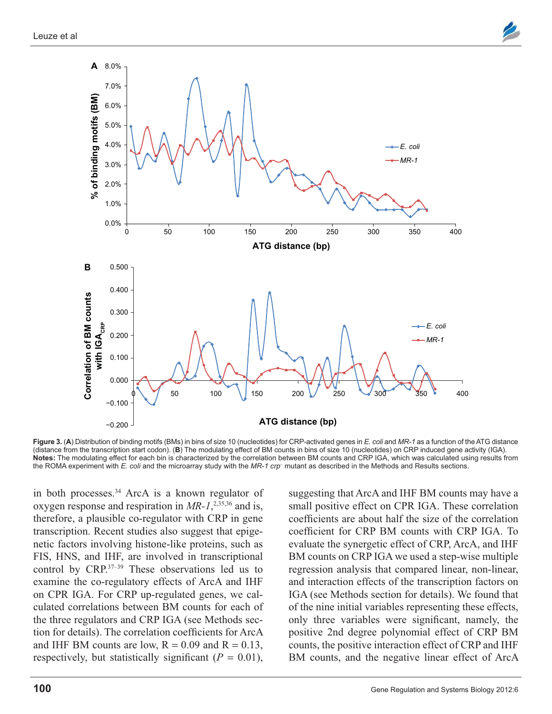



**Figure 3.** (**A**) Distribution of binding motifs (BMs) in bins of size 10 (nucleotides) for CRP-activated genes in *E. coli* and *MR-1* as a function of the ATG distance (distance from the transcription start codon). (**B**) The modulating effect of BM counts in bins of size 10 (nucleotides) on CRP induced gene activity (IGA). **Notes:** The modulating effect for each bin is characterized by the correlation between BM counts and CRP IGA, which was calculated using results from the ROMA experiment with *E. coli* and the microarray study with the *MR-1 crp* mutant as described in the Methods and Results sections.

in both processes.<sup>34</sup> ArcA is a known regulator of oxygen response and respiration in *MR-1*, 2,35,36 and is, therefore, a plausible co-regulator with CRP in gene transcription. Recent studies also suggest that epigenetic factors involving histone-like proteins, such as FIS, HNS, and IHF, are involved in transcriptional control by  $CRP^{37-39}$  These observations led us to examine the co-regulatory effects of ArcA and IHF on CPR IGA. For CRP up-regulated genes, we calculated correlations between BM counts for each of the three regulators and CRP IGA (see Methods section for details). The correlation coefficients for ArcA and IHF BM counts are low,  $R = 0.09$  and  $R = 0.13$ , respectively, but statistically significant  $(P = 0.01)$ ,

suggesting that ArcA and IHF BM counts may have a small positive effect on CPR IGA. These correlation coefficients are about half the size of the correlation coefficient for CRP BM counts with CRP IGA. To evaluate the synergetic effect of CRP, ArcA, and IHF BM counts on CRP IGA we used a step-wise multiple regression analysis that compared linear, non-linear, and interaction effects of the transcription factors on IGA (see Methods section for details). We found that of the nine initial variables representing these effects, only three variables were significant, namely, the positive 2nd degree polynomial effect of CRP BM counts, the positive interaction effect of CRP and IHF BM counts, and the negative linear effect of ArcA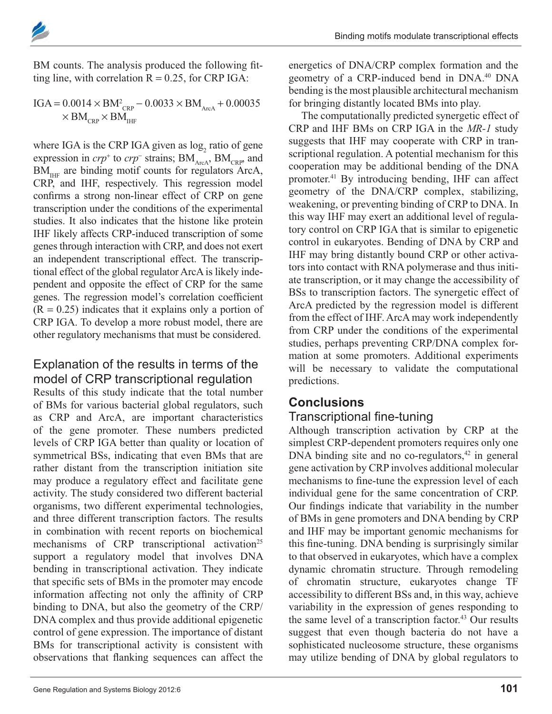

BM counts. The analysis produced the following fitting line, with correlation  $R = 0.25$ , for CRP IGA:

$$
\begin{aligned} \mathrm{IGA} & = 0.0014 \times \mathrm{BM}_{_{CRP}}^2 - 0.0033 \times \mathrm{BM}_{_{ArcA}} + 0.00035 \\ & \times \mathrm{BM}_{_{CRP}} \times \mathrm{BM}_{_{IHF}} \end{aligned}
$$

where IGA is the CRP IGA given as  $log<sub>2</sub>$  ratio of gene expression in  $crp^+$  to  $crp^-$  strains; BM<sub>ArcA</sub>, BM<sub>CRP</sub>, and  $BM<sub>HHF</sub>$  are binding motif counts for regulators ArcA, CRP, and IHF, respectively. This regression model confirms a strong non-linear effect of CRP on gene transcription under the conditions of the experimental studies. It also indicates that the histone like protein IHF likely affects CRP-induced transcription of some genes through interaction with CRP, and does not exert an independent transcriptional effect. The transcriptional effect of the global regulator ArcA is likely independent and opposite the effect of CRP for the same genes. The regression model's correlation coefficient  $(R = 0.25)$  indicates that it explains only a portion of CRP IGA. To develop a more robust model, there are other regulatory mechanisms that must be considered.

## Explanation of the results in terms of the model of CRP transcriptional regulation

Results of this study indicate that the total number of BMs for various bacterial global regulators, such as CRP and ArcA, are important characteristics of the gene promoter. These numbers predicted levels of CRP IGA better than quality or location of symmetrical BSs, indicating that even BMs that are rather distant from the transcription initiation site may produce a regulatory effect and facilitate gene activity. The study considered two different bacterial organisms, two different experimental technologies, and three different transcription factors. The results in combination with recent reports on biochemical mechanisms of CRP transcriptional activation<sup>25</sup> support a regulatory model that involves DNA bending in transcriptional activation. They indicate that specific sets of BMs in the promoter may encode information affecting not only the affinity of CRP binding to DNA, but also the geometry of the CRP/ DNA complex and thus provide additional epigenetic control of gene expression. The importance of distant BMs for transcriptional activity is consistent with observations that flanking sequences can affect the

energetics of DNA/CRP complex formation and the geometry of a CRP-induced bend in DNA.<sup>40</sup> DNA bending is the most plausible architectural mechanism for bringing distantly located BMs into play.

The computationally predicted synergetic effect of CRP and IHF BMs on CRP IGA in the *MR-1* study suggests that IHF may cooperate with CRP in transcriptional regulation. A potential mechanism for this cooperation may be additional bending of the DNA promoter.41 By introducing bending, IHF can affect geometry of the DNA/CRP complex, stabilizing, weakening, or preventing binding of CRP to DNA. In this way IHF may exert an additional level of regulatory control on CRP IGA that is similar to epigenetic control in eukaryotes. Bending of DNA by CRP and IHF may bring distantly bound CRP or other activators into contact with RNA polymerase and thus initiate transcription, or it may change the accessibility of BSs to transcription factors. The synergetic effect of ArcA predicted by the regression model is different from the effect of IHF. ArcA may work independently from CRP under the conditions of the experimental studies, perhaps preventing CRP/DNA complex formation at some promoters. Additional experiments will be necessary to validate the computational predictions.

## **Conclusions**

## Transcriptional fine-tuning

Although transcription activation by CRP at the simplest CRP-dependent promoters requires only one DNA binding site and no co-regulators, $42$  in general gene activation by CRP involves additional molecular mechanisms to fine-tune the expression level of each individual gene for the same concentration of CRP. Our findings indicate that variability in the number of BMs in gene promoters and DNA bending by CRP and IHF may be important genomic mechanisms for this fine-tuning. DNA bending is surprisingly similar to that observed in eukaryotes, which have a complex dynamic chromatin structure. Through remodeling of chromatin structure, eukaryotes change TF accessibility to different BSs and, in this way, achieve variability in the expression of genes responding to the same level of a transcription factor.<sup>43</sup> Our results suggest that even though bacteria do not have a sophisticated nucleosome structure, these organisms may utilize bending of DNA by global regulators to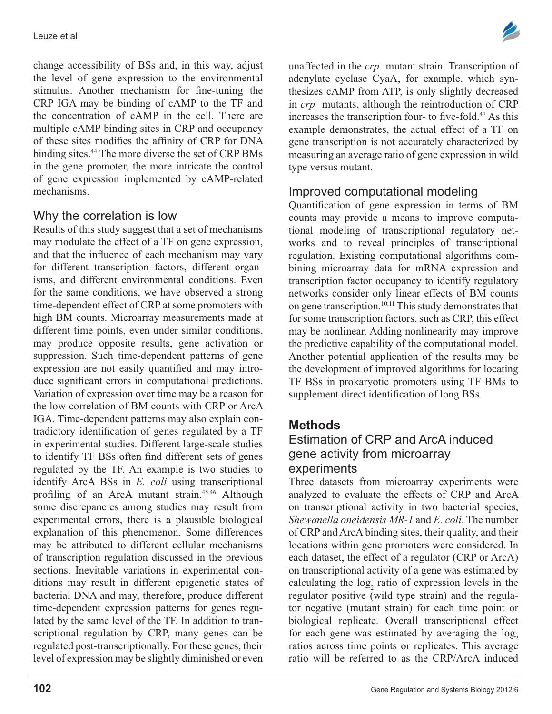

change accessibility of BSs and, in this way, adjust the level of gene expression to the environmental stimulus. Another mechanism for fine-tuning the CRP IGA may be binding of cAMP to the TF and the concentration of cAMP in the cell. There are multiple cAMP binding sites in CRP and occupancy of these sites modifies the affinity of CRP for DNA binding sites.<sup>44</sup> The more diverse the set of CRP BMs in the gene promoter, the more intricate the control of gene expression implemented by cAMP-related mechanisms.

#### Why the correlation is low

Results of this study suggest that a set of mechanisms may modulate the effect of a TF on gene expression, and that the influence of each mechanism may vary for different transcription factors, different organisms, and different environmental conditions. Even for the same conditions, we have observed a strong time-dependent effect of CRP at some promoters with high BM counts. Microarray measurements made at different time points, even under similar conditions, may produce opposite results, gene activation or suppression. Such time-dependent patterns of gene expression are not easily quantified and may introduce significant errors in computational predictions. Variation of expression over time may be a reason for the low correlation of BM counts with CRP or ArcA IGA. Time-dependent patterns may also explain contradictory identification of genes regulated by a TF in experimental studies. Different large-scale studies to identify TF BSs often find different sets of genes regulated by the TF. An example is two studies to identify ArcA BSs in *E. coli* using transcriptional profiling of an ArcA mutant strain.<sup>45,46</sup> Although some discrepancies among studies may result from experimental errors, there is a plausible biological explanation of this phenomenon. Some differences may be attributed to different cellular mechanisms of transcription regulation discussed in the previous sections. Inevitable variations in experimental conditions may result in different epigenetic states of bacterial DNA and may, therefore, produce different time-dependent expression patterns for genes regulated by the same level of the TF. In addition to transcriptional regulation by CRP, many genes can be regulated post-transcriptionally. For these genes, their level of expression may be slightly diminished or even

unaffected in the *crp*<sup>-</sup> mutant strain. Transcription of adenylate cyclase CyaA, for example, which synthesizes cAMP from ATP, is only slightly decreased in *crp* mutants, although the reintroduction of CRP increases the transcription four- to five-fold.47 As this example demonstrates, the actual effect of a TF on gene transcription is not accurately characterized by measuring an average ratio of gene expression in wild type versus mutant.

#### Improved computational modeling

Quantification of gene expression in terms of BM counts may provide a means to improve computational modeling of transcriptional regulatory networks and to reveal principles of transcriptional regulation. Existing computational algorithms combining microarray data for mRNA expression and transcription factor occupancy to identify regulatory networks consider only linear effects of BM counts on gene transcription.<sup>10,11</sup> This study demonstrates that for some transcription factors, such as CRP, this effect may be nonlinear. Adding nonlinearity may improve the predictive capability of the computational model. Another potential application of the results may be the development of improved algorithms for locating TF BSs in prokaryotic promoters using TF BMs to supplement direct identification of long BSs.

## **Methods**

#### Estimation of CRP and ArcA induced gene activity from microarray experiments

Three datasets from microarray experiments were analyzed to evaluate the effects of CRP and ArcA on transcriptional activity in two bacterial species, *Shewanella oneidensis MR-1* and *E. coli*. The number of CRP and ArcA binding sites, their quality, and their locations within gene promoters were considered. In each dataset, the effect of a regulator (CRP or ArcA) on transcriptional activity of a gene was estimated by calculating the  $log<sub>2</sub>$  ratio of expression levels in the regulator positive (wild type strain) and the regulator negative (mutant strain) for each time point or biological replicate. Overall transcriptional effect for each gene was estimated by averaging the  $log<sub>2</sub>$ ratios across time points or replicates. This average ratio will be referred to as the CRP/ArcA induced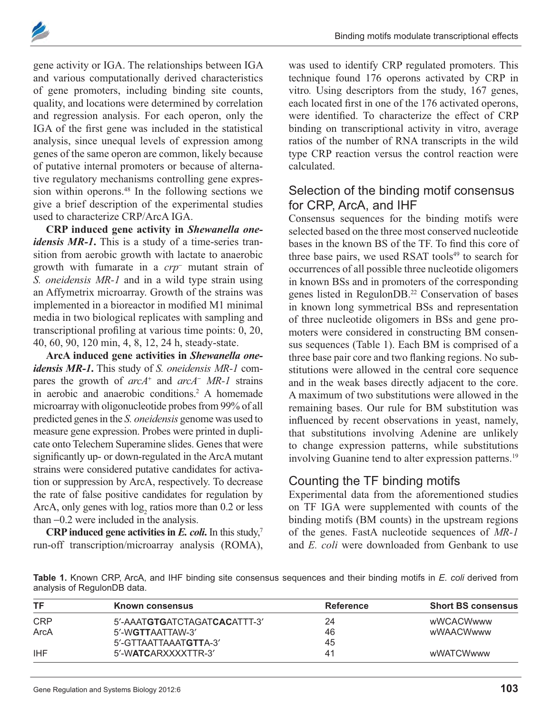

gene activity or IGA. The relationships between IGA and various computationally derived characteristics of gene promoters, including binding site counts, quality, and locations were determined by correlation and regression analysis. For each operon, only the IGA of the first gene was included in the statistical analysis, since unequal levels of expression among genes of the same operon are common, likely because of putative internal promoters or because of alternative regulatory mechanisms controlling gene expression within operons.<sup>48</sup> In the following sections we give a brief description of the experimental studies used to characterize CRP/ArcA IGA.

**CRP induced gene activity in** *Shewanella oneidensis MR-1***.** This is a study of a time-series transition from aerobic growth with lactate to anaerobic growth with fumarate in a *crp*<sup>-</sup> mutant strain of *S. oneidensis MR-1* and in a wild type strain using an Affymetrix microarray. Growth of the strains was implemented in a bioreactor in modified M1 minimal media in two biological replicates with sampling and transcriptional profiling at various time points: 0, 20, 40, 60, 90, 120 min, 4, 8, 12, 24 h, steady-state.

**ArcA induced gene activities in** *Shewanella oneidensis MR-1***.** This study of *S. oneidensis MR-1* compares the growth of *arcA*<sup>+</sup> and *arcA*<sup>-</sup> MR-1 strains in aerobic and anaerobic conditions.2 A homemade microarray with oligonucleotide probes from 99% of all predicted genes in the *S. oneidensis* genome was used to measure gene expression. Probes were printed in duplicate onto Telechem Superamine slides. Genes that were significantly up- or down-regulated in the ArcA mutant strains were considered putative candidates for activation or suppression by ArcA, respectively. To decrease the rate of false positive candidates for regulation by ArcA, only genes with  $log<sub>2</sub>$  ratios more than 0.2 or less than 0.2 were included in the analysis.

**CRP induced gene activities in**  $E$ **, coli**, In this study,<sup>7</sup> run-off transcription/microarray analysis (ROMA), was used to identify CRP regulated promoters. This technique found 176 operons activated by CRP in vitro*.* Using descriptors from the study, 167 genes, each located first in one of the 176 activated operons, were identified. To characterize the effect of CRP binding on transcriptional activity in vitro, average ratios of the number of RNA transcripts in the wild type CRP reaction versus the control reaction were calculated.

#### Selection of the binding motif consensus for CRP, ArcA, and IHF

Consensus sequences for the binding motifs were selected based on the three most conserved nucleotide bases in the known BS of the TF. To find this core of three base pairs, we used RSAT tools $49$  to search for occurrences of all possible three nucleotide oligomers in known BSs and in promoters of the corresponding genes listed in RegulonDB.22 Conservation of bases in known long symmetrical BSs and representation of three nucleotide oligomers in BSs and gene promoters were considered in constructing BM consensus sequences (Table 1). Each BM is comprised of a three base pair core and two flanking regions. No substitutions were allowed in the central core sequence and in the weak bases directly adjacent to the core. A maximum of two substitutions were allowed in the remaining bases. Our rule for BM substitution was influenced by recent observations in yeast, namely, that substitutions involving Adenine are unlikely to change expression patterns, while substitutions involving Guanine tend to alter expression patterns.<sup>19</sup>

#### Counting the TF binding motifs

Experimental data from the aforementioned studies on TF IGA were supplemented with counts of the binding motifs (BM counts) in the upstream regions of the genes. FastA nucleotide sequences of *MR-1* and *E. coli* were downloaded from Genbank to use

**Table 1.** Known CRP, ArcA, and IHF binding site consensus sequences and their binding motifs in *E. coli* derived from analysis of RegulonDB data.

| ΤF         | Known consensus                | <b>Reference</b> | <b>Short BS consensus</b> |  |  |
|------------|--------------------------------|------------------|---------------------------|--|--|
| <b>CRP</b> | 5'-AAATGTGATCTAGATCACATTT-3'   | 24               | wWCACWwww                 |  |  |
| ArcA       | 5'-WGTTAATTAW-3'               | 46               | wWAACWwww                 |  |  |
|            | 5'-GTTAATTAAAT <b>GTT</b> A-3' | 45               |                           |  |  |
| <b>IHF</b> | 5'-WATCARXXXXTTR-3'            | 41               | wWATCWwww                 |  |  |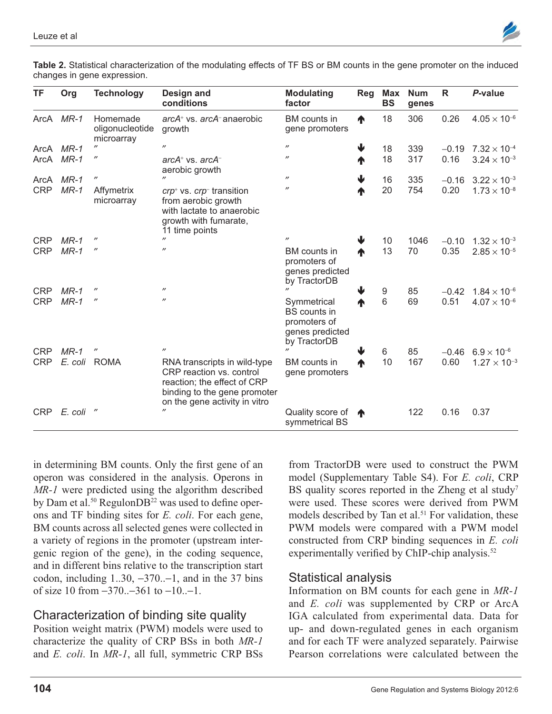

| <b>TF</b>  | Org       | <b>Technology</b>                         | Design and<br>conditions                                                                                                                                 | <b>Modulating</b><br>factor                                                           | <b>Reg</b>       | Max<br><b>BS</b> | <b>Num</b><br>genes | $\mathsf{R}$ | P-value                               |
|------------|-----------|-------------------------------------------|----------------------------------------------------------------------------------------------------------------------------------------------------------|---------------------------------------------------------------------------------------|------------------|------------------|---------------------|--------------|---------------------------------------|
|            | ArcA MR-1 | Homemade<br>oligonucleotide<br>microarray | arcA+ vs. arcA-anaerobic<br>growth                                                                                                                       | <b>BM</b> counts in<br>gene promoters                                                 | ♠                | 18               | 306                 | 0.26         | $4.05 \times 10^{-6}$                 |
|            | ArcA MR-1 |                                           | $^{\prime\prime}$                                                                                                                                        | $^{\prime\prime}$                                                                     | ♦                | 18               | 339                 | $-0.19$      | $7.32 \times 10^{-4}$                 |
| ArcA       | $MR-1$    | $^{\prime\prime}$                         | $arcA+$ vs. $arcA-$<br>aerobic growth                                                                                                                    | $^{\prime\prime}$                                                                     | ♠                | 18               | 317                 | 0.16         | $3.24 \times 10^{-3}$                 |
| ArcA       | MR-1      | $^{\prime\prime}$                         |                                                                                                                                                          | $^{\prime\prime}$                                                                     | ♦                | 16               | 335                 | $-0.16$      | $3.22 \times 10^{-3}$                 |
| <b>CRP</b> | $MR-1$    | Affymetrix<br>microarray                  | crp <sup>+</sup> vs. crp <sup>-</sup> transition<br>from aerobic growth<br>with lactate to anaerobic<br>growth with fumarate,<br>11 time points          | $^{\prime\prime}$                                                                     | ♠                | 20               | 754                 | 0.20         | $1.73 \times 10^{-8}$                 |
| <b>CRP</b> | $MR-1$    | $^{\prime\prime}$                         |                                                                                                                                                          | $^{\prime\prime}$                                                                     | ↓                | 10               | 1046                | $-0.10$      | $1.32 \times 10^{-3}$                 |
| <b>CRP</b> | $MR-1$    | $^{\prime\prime}$                         | $^{\prime\prime}$                                                                                                                                        | <b>BM</b> counts in<br>promoters of<br>genes predicted<br>by TractorDB                | ♠                | 13               | 70                  | 0.35         | $2.85 \times 10^{-5}$                 |
| <b>CRP</b> | $MR-1$    | $^{\prime\prime}$                         | $^{\prime\prime}$                                                                                                                                        |                                                                                       |                  | 9                | 85                  | $-0.42$      | $1.84 \times 10^{-6}$                 |
| <b>CRP</b> | $MR-1$    | $^{\prime\prime}$                         | $^{\prime\prime}$                                                                                                                                        | Symmetrical<br><b>BS</b> counts in<br>promoters of<br>genes predicted<br>by TractorDB | ♠                | 6                | 69                  | 0.51         | $4.07 \times 10^{-6}$                 |
| <b>CRP</b> | $MR-1$    | $^{\prime\prime}$                         | $^{\prime\prime}$                                                                                                                                        |                                                                                       | ↓                | 6                | 85                  |              | $-0.46$ 6.9 $\times$ 10 <sup>-6</sup> |
| <b>CRP</b> |           | E. coli ROMA                              | RNA transcripts in wild-type<br>CRP reaction vs. control<br>reaction; the effect of CRP<br>binding to the gene promoter<br>on the gene activity in vitro | BM counts in<br>gene promoters                                                        | ♠                | 10               | 167                 | 0.60         | $1.27 \times 10^{-3}$                 |
| <b>CRP</b> | E. coli   | $^{\prime\prime}$                         | $^{\prime\prime}$                                                                                                                                        | Quality score of<br>symmetrical BS                                                    | $\blacktriangle$ |                  | 122                 | 0.16         | 0.37                                  |

**Table 2.** Statistical characterization of the modulating effects of TF BS or BM counts in the gene promoter on the induced changes in gene expression.

in determining BM counts. Only the first gene of an operon was considered in the analysis. Operons in *MR-1* were predicted using the algorithm described by Dam et al.<sup>50</sup> Regulon $DB^{22}$  was used to define operons and TF binding sites for *E. coli*. For each gene, BM counts across all selected genes were collected in a variety of regions in the promoter (upstream intergenic region of the gene), in the coding sequence, and in different bins relative to the transcription start codon, including  $1..30, -370...$  and in the 37 bins of size 10 from  $-370$ .  $-361$  to  $-10$ .  $-1$ .

## Characterization of binding site quality

Position weight matrix (PWM) models were used to characterize the quality of CRP BSs in both *MR-1* and *E. coli*. In *MR-1*, all full, symmetric CRP BSs

from TractorDB were used to construct the PWM model (Supplementary Table S4). For *E. coli*, CRP BS quality scores reported in the Zheng et al study<sup>7</sup> were used. These scores were derived from PWM models described by Tan et al.<sup>51</sup> For validation, these PWM models were compared with a PWM model constructed from CRP binding sequences in *E. coli* experimentally verified by ChIP-chip analysis.<sup>52</sup>

#### Statistical analysis

Information on BM counts for each gene in *MR-1* and *E. coli* was supplemented by CRP or ArcA IGA calculated from experimental data. Data for up- and down-regulated genes in each organism and for each TF were analyzed separately. Pairwise Pearson correlations were calculated between the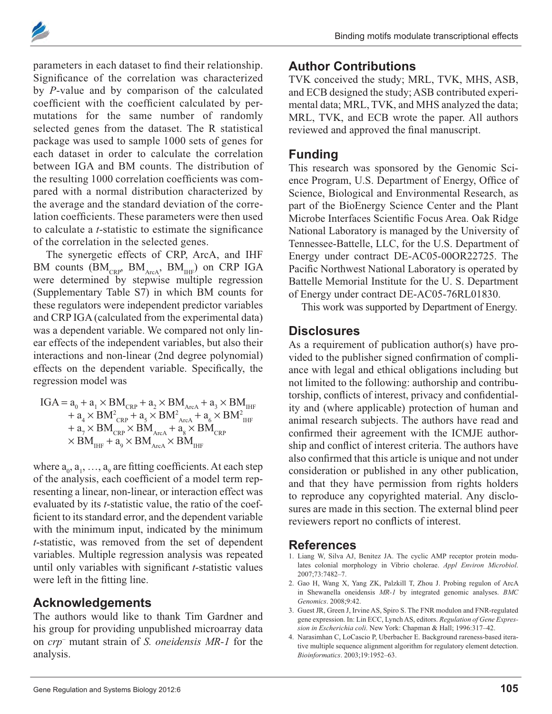

parameters in each dataset to find their relationship. Significance of the correlation was characterized by *P*-value and by comparison of the calculated coefficient with the coefficient calculated by permutations for the same number of randomly selected genes from the dataset. The R statistical package was used to sample 1000 sets of genes for each dataset in order to calculate the correlation between IGA and BM counts. The distribution of the resulting 1000 correlation coefficients was compared with a normal distribution characterized by the average and the standard deviation of the correlation coefficients. These parameters were then used to calculate a *t*-statistic to estimate the significance of the correlation in the selected genes.

The synergetic effects of CRP, ArcA, and IHF BM counts  $(BM_{CRP}, BM_{ArcA}, BM_{IHF})$  on CRP IGA were determined by stepwise multiple regression (Supplementary Table S7) in which BM counts for these regulators were independent predictor variables and CRP IGA (calculated from the experimental data) was a dependent variable. We compared not only linear effects of the independent variables, but also their interactions and non-linear (2nd degree polynomial) effects on the dependent variable. Specifically, the regression model was

 $\text{IGA} = \text{a}_{\text{o}} + \text{a}_{\text{1}} \times \text{BM}_{_{\text{CRP}}} + \text{a}_{\text{2}} \times \text{BM}_{_{\text{ArcA}}} + \text{a}_{\text{3}} \times \text{BM}_{_{\text{IHF}}}$  $a_4 \times \text{BM}_{\text{~CRP}}^2 + a_5 \times \text{BM}_{\text{~ArcA}}^2 + a_6 \times \text{BM}_{\text{~IHF}}^2$  $+ a_7^2 \times BM_{CRP} \times BM_{ArcA} + a_8 \times BM_{CRP}$  $\times$  BM<sub>IHF</sub> +  $a_{9} \times$  BM<sub>ArcA</sub>  $\times$  BM<sub>IHF</sub>

where  $a_0, a_1, ..., a_9$  are fitting coefficients. At each step of the analysis, each coefficient of a model term representing a linear, non-linear, or interaction effect was evaluated by its *t*-statistic value, the ratio of the coefficient to its standard error, and the dependent variable with the minimum input, indicated by the minimum *t*-statistic, was removed from the set of dependent variables. Multiple regression analysis was repeated until only variables with significant *t*-statistic values were left in the fitting line.

## **Acknowledgements**

The authors would like to thank Tim Gardner and his group for providing unpublished microarray data on *crp*– mutant strain of *S. oneidensis MR-1* for the analysis.

## **Author Contributions**

TVK conceived the study; MRL, TVK, MHS, ASB, and ECB designed the study; ASB contributed experimental data; MRL, TVK, and MHS analyzed the data; MRL, TVK, and ECB wrote the paper. All authors reviewed and approved the final manuscript.

## **Funding**

This research was sponsored by the Genomic Science Program, U.S. Department of Energy, Office of Science, Biological and Environmental Research, as part of the BioEnergy Science Center and the Plant Microbe Interfaces Scientific Focus Area. Oak Ridge National Laboratory is managed by the University of Tennessee-Battelle, LLC, for the U.S. Department of Energy under contract DE-AC05-00OR22725. The Pacific Northwest National Laboratory is operated by Battelle Memorial Institute for the U. S. Department of Energy under contract DE-AC05-76RL01830.

This work was supported by Department of Energy.

#### **Disclosures**

As a requirement of publication author(s) have provided to the publisher signed confirmation of compliance with legal and ethical obligations including but not limited to the following: authorship and contributorship, conflicts of interest, privacy and confidentiality and (where applicable) protection of human and animal research subjects. The authors have read and confirmed their agreement with the ICMJE authorship and conflict of interest criteria. The authors have also confirmed that this article is unique and not under consideration or published in any other publication, and that they have permission from rights holders to reproduce any copyrighted material. Any disclosures are made in this section. The external blind peer reviewers report no conflicts of interest.

#### **References**

- 1. Liang W, Silva AJ, Benitez JA. The cyclic AMP receptor protein modulates colonial morphology in Vibrio cholerae. *Appl Environ Microbiol*. 2007;73:7482–7.
- 2. Gao H, Wang X, Yang ZK, Palzkill T, Zhou J. Probing regulon of ArcA in Shewanella oneidensis *MR-1* by integrated genomic analyses. *BMC Genomics*. 2008;9:42.
- 3. Guest JR, Green J, Irvine AS, Spiro S. The FNR modulon and FNR- regulated gene expression. In: Lin ECC, Lynch AS, editors. *Regulation of Gene Expression in Escherichia coli*. New York: Chapman & Hall; 1996:317–42.
- 4. Narasimhan C, LoCascio P, Uberbacher E. Background rareness-based iterative multiple sequence alignment algorithm for regulatory element detection. *Bioinformatics*. 2003;19:1952–63.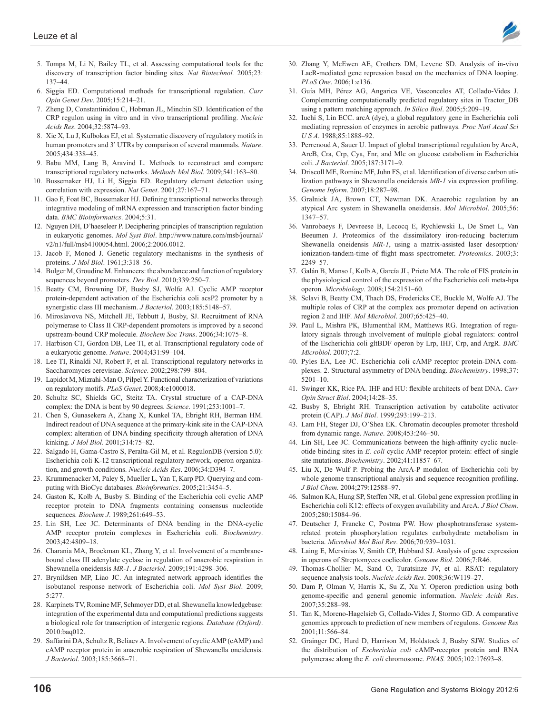

- 5. Tompa M, Li N, Bailey TL, et al. Assessing computational tools for the discovery of transcription factor binding sites. *Nat Biotechnol.* 2005;23: 137–44.
- 6. Siggia ED. Computational methods for transcriptional regulation. *Curr Opin Genet Dev*. 2005;15:214–21.
- 7. Zheng D, Constantinidou C, Hobman JL, Minchin SD. Identification of the CRP regulon using in vitro and in vivo transcriptional profiling. *Nucleic Acids Res*. 2004;32:5874–93.
- 8. Xie X, Lu J, Kulbokas EJ, et al. Systematic discovery of regulatory motifs in human promoters and 3' UTRs by comparison of several mammals. Nature. 2005;434:338–45.
- 9. Babu MM, Lang B, Aravind L. Methods to reconstruct and compare transcriptional regulatory networks. *Methods Mol Biol*. 2009;541:163–80.
- 10. Bussemaker HJ, Li H, Siggia ED. Regulatory element detection using correlation with expression. *Nat Genet*. 2001;27:167–71.
- 11. Gao F, Foat BC, Bussemaker HJ. Defining transcriptional networks through integrative modeling of mRNA expression and transcription factor binding data. *BMC Bioinformatics*. 2004;5:31.
- 12. Nguyen DH, D'haeseleer P. Deciphering principles of transcription regulation in eukaryotic genomes. *Mol Syst Biol*. http://www.nature.com/msb/journal/ v2/n1/full/msb4100054.html. 2006;2:2006.0012.
- 13. Jacob F, Monod J. Genetic regulatory mechanisms in the synthesis of proteins. *J Mol Biol*. 1961;3:318–56.
- 14. Bulger M, Groudine M. Enhancers: the abundance and function of regulatory sequences beyond promoters. *Dev Biol*. 2010;339:250–7.
- 15. Beatty CM, Browning DF, Busby SJ, Wolfe AJ. Cyclic AMP receptor protein-dependent activation of the Escherichia coli acsP2 promoter by a synergistic class III mechanism. *J Bacteriol*. 2003;185:5148–57.
- 16. Miroslavova NS, Mitchell JE, Tebbutt J, Busby, SJ. Recruitment of RNA polymerase to Class II CRP-dependent promoters is improved by a second upstream-bound CRP molecule. *Biochem Soc Trans*. 2006;34:1075–8.
- 17. Harbison CT, Gordon DB, Lee TI, et al. Transcriptional regulatory code of a eukaryotic genome. *Nature*. 2004;431:99–104.
- 18. Lee TI, Rinaldi NJ, Robert F, et al. Transcriptional regulatory networks in Saccharomyces cerevisiae. *Science*. 2002;298:799–804.
- 19. Lapidot M, Mizrahi-Man O, Pilpel Y. Functional characterization of variations on regulatory motifs. *PLoS Genet*. 2008;4:e1000018.
- 20. Schultz SC, Shields GC, Steitz TA. Crystal structure of a CAP-DNA complex: the DNA is bent by 90 degrees. *Science*. 1991;253:1001–7.
- 21. Chen S, Gunasekera A, Zhang X, Kunkel TA, Ebright RH, Berman HM. Indirect readout of DNA sequence at the primary-kink site in the CAP-DNA complex: alteration of DNA binding specificity through alteration of DNA kinking. *J Mol Biol*. 2001;314:75–82.
- 22. Salgado H, Gama-Castro S, Peralta-Gil M, et al. RegulonDB (version 5.0): Escherichia coli K-12 transcriptional regulatory network, operon organization, and growth conditions. *Nucleic Acids Res*. 2006;34:D394–7.
- 23. Krummenacker M, Paley S, Mueller L, Yan T, Karp PD. Querying and computing with BioCyc databases. *Bioinformatics*. 2005;21:3454–5.
- 24. Gaston K, Kolb A, Busby S. Binding of the Escherichia coli cyclic AMP receptor protein to DNA fragments containing consensus nucleotide sequences. *Biochem J*. 1989;261:649–53.
- 25. Lin SH, Lee JC. Determinants of DNA bending in the DNA-cyclic AMP receptor protein complexes in Escherichia coli. *Biochemistry*. 2003;42:4809–18.
- 26. Charania MA, Brockman KL, Zhang Y, et al. Involvement of a membranebound class III adenylate cyclase in regulation of anaerobic respiration in Shewanella oneidensis *MR-1*. *J Bacteriol*. 2009;191:4298–306.
- 27. Brynildsen MP, Liao JC. An integrated network approach identifies the isobutanol response network of Escherichia coli. *Mol Syst Biol*. 2009; 5:277.
- 28. Karpinets TV, Romine MF, Schmoyer DD, et al. Shewanella knowledgebase: integration of the experimental data and computational predictions suggests a biological role for transcription of intergenic regions. *Database (Oxford)*. 2010:baq012.
- 29. Saffarini DA, Schultz R, Beliaev A. Involvement of cyclic AMP (cAMP) and cAMP receptor protein in anaerobic respiration of Shewanella oneidensis. *J Bacteriol*. 2003;185:3668–71.
- 30. Zhang Y, McEwen AE, Crothers DM, Levene SD. Analysis of in-vivo LacR-mediated gene repression based on the mechanics of DNA looping. *PLoS One*. 2006;1:e136.
- 31. Guía MH, Pérez AG, Angarica VE, Vasconcelos AT, Collado-Vides J. Complementing computationally predicted regulatory sites in Tractor\_DB using a pattern matching approach. *In Silico Biol*. 2005;5:209–19.
- 32. Iuchi S, Lin ECC. arcA (dye), a global regulatory gene in Escherichia coli mediating repression of enzymes in aerobic pathways. *Proc Natl Acad Sci U S A*. 1988;85:1888–92.
- 33. Perrenoud A, Sauer U. Impact of global transcriptional regulation by ArcA, ArcB, Cra, Crp, Cya, Fnr, and Mlc on glucose catabolism in Escherichia coli. *J Bacteriol*. 2005;187:3171–9.
- 34. Driscoll ME, Romine MF, Juhn FS, et al. Identification of diverse carbon utilization pathways in Shewanella oneidensis *MR-1* via expression profiling. *Genome Inform*. 2007;18:287–98.
- 35. Gralnick JA, Brown CT, Newman DK. Anaerobic regulation by an atypical Arc system in Shewanella oneidensis. *Mol Microbiol*. 2005;56: 1347–57.
- 36. Vanrobaeys F, Devreese B, Lecocq E, Rychlewski L, De Smet L, Van Beeumen J. Proteomics of the dissimilatory iron-reducing bacterium Shewanella oneidensis *MR-1*, using a matrix-assisted laser desorption/ ionization-tandem-time of flight mass spectrometer. *Proteomics*. 2003;3: 2249–57.
- 37. Galán B, Manso I, Kolb A, García JL, Prieto MA. The role of FIS protein in the physiological control of the expression of the Escherichia coli meta-hpa operon. *Microbiology*. 2008;154:2151–60.
- 38. Sclavi B, Beatty CM, Thach DS, Fredericks CE, Buckle M, Wolfe AJ. The multiple roles of CRP at the complex acs promoter depend on activation region 2 and IHF. *Mol Microbiol*. 2007;65:425–40.
- 39. Paul L, Mishra PK, Blumenthal RM, Matthews RG. Integration of regulatory signals through involvement of multiple global regulators: control of the Escherichia coli gltBDF operon by Lrp, IHF, Crp, and ArgR. *BMC Microbiol*. 2007;7:2.
- 40. Pyles EA, Lee JC. Escherichia coli cAMP receptor protein-DNA complexes. 2. Structural asymmetry of DNA bending. *Biochemistry*. 1998;37: 5201–10.
- 41. Swinger KK, Rice PA. IHF and HU: flexible architects of bent DNA. *Curr Opin Struct Biol*. 2004;14:28–35.
- 42. Busby S, Ebright RH. Transcription activation by catabolite activator protein (CAP). *J Mol Biol*. 1999;293:199–213.
- 43. Lam FH, Steger DJ, O'Shea EK. Chromatin decouples promoter threshold from dynamic range. *Nature*. 2008;453:246–50.
- 44. Lin SH, Lee JC. Communications between the high-affinity cyclic nucleotide binding sites in *E. coli* cyclic AMP receptor protein: effect of single site mutations. *Biochemistry*. 2002;41:11857–67.
- 45. Liu X, De Wulf P. Probing the ArcA-P modulon of Escherichia coli by whole genome transcriptional analysis and sequence recognition profiling. *J Biol Chem*. 2004;279:12588–97.
- 46. Salmon KA, Hung SP, Steffen NR, et al. Global gene expression profiling in Escherichia coli K12: effects of oxygen availability and ArcA. *J Biol Chem*. 2005;280:15084–96.
- 47. Deutscher J, Francke C, Postma PW. How phosphotransferase system related protein phosphorylation regulates carbohydrate metabolism in bacteria. *Microbiol Mol Biol Rev*. 2006;70:939–1031.
- 48. Laing E, Mersinias V, Smith CP, Hubbard SJ. Analysis of gene expression in operons of Streptomyces coelicolor. *Genome Biol*. 2006;7:R46.
- 49. Thomas-Chollier M, Sand O, Turatsinze JV, et al. RSAT: regulatory sequence analysis tools. *Nucleic Acids Res*. 2008;36:W119–27.
- 50. Dam P, Olman V, Harris K, Su Z, Xu Y. Operon prediction using both genome-specific and general genomic information. *Nucleic Acids Res*. 2007;35:288–98.
- 51. Tan K, Moreno-Hagelsieb G, Collado-Vides J, Stormo GD. A comparative genomics approach to prediction of new members of regulons. *Genome Res* 2001;11:566–84.
- 52. Grainger DC, Hurd D, Harrison M, Holdstock J, Busby SJW. Studies of the distribution of *Escherichia coli* cAMP-receptor protein and RNA polymerase along the *E*. *coli* chromosome. *PNAS.* 2005;102:17693–8.